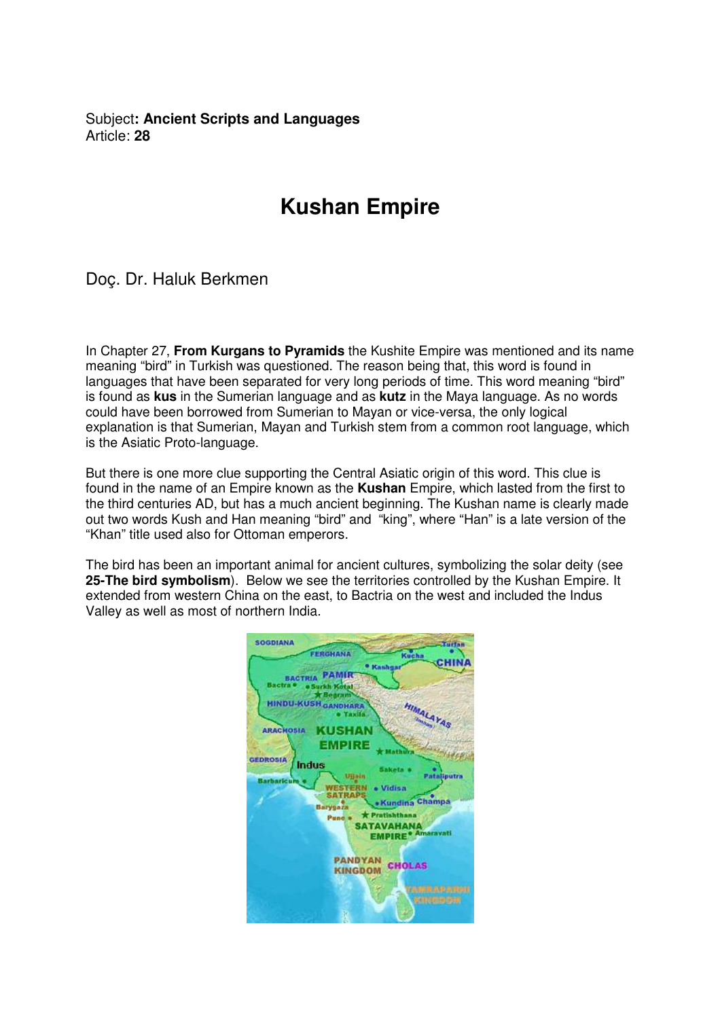Subject**: Ancient Scripts and Languages**  Article: **28**

## **Kushan Empire**

Doç. Dr. Haluk Berkmen

In Chapter 27, **From Kurgans to Pyramids** the Kushite Empire was mentioned and its name meaning "bird" in Turkish was questioned. The reason being that, this word is found in languages that have been separated for very long periods of time. This word meaning "bird" is found as **kus** in the Sumerian language and as **kutz** in the Maya language. As no words could have been borrowed from Sumerian to Mayan or vice-versa, the only logical explanation is that Sumerian, Mayan and Turkish stem from a common root language, which is the Asiatic Proto-language.

But there is one more clue supporting the Central Asiatic origin of this word. This clue is found in the name of an Empire known as the **Kushan** Empire, which lasted from the first to the third centuries AD, but has a much ancient beginning. The Kushan name is clearly made out two words Kush and Han meaning "bird" and "king", where "Han" is a late version of the "Khan" title used also for Ottoman emperors.

The bird has been an important animal for ancient cultures, symbolizing the solar deity (see **25-The bird symbolism**). Below we see the territories controlled by the Kushan Empire. It extended from western China on the east, to Bactria on the west and included the Indus Valley as well as most of northern India.

| Turfan<br><b>FERGHANA</b><br>Kucha                            |
|---------------------------------------------------------------|
|                                                               |
| Kashqar                                                       |
| PAMIR<br><b>BACTRIA</b>                                       |
| <b>Bactra</b><br>urkh Kotal                                   |
| <b>E</b> egram                                                |
| <b>HINDU-KUSH GANDHARA</b><br>HIMALAYAS<br>Taxila             |
|                                                               |
| <b>KUSHAN</b><br><b>ARACHOSIA</b>                             |
| EMPIRE                                                        |
| <b><i>GANZAN SEE</i></b><br><b>Mathwra</b><br><b>GEDROSIA</b> |
| <b>Indus</b><br>Saketa o                                      |
| Pataliputra<br>Ulisin<br><b>Barbaricum</b>                    |
| · Vidisa<br><b>SATRAPS</b>                                    |
| <b>Kundina Champa</b><br>Barygaza                             |
| * Pratishthana<br>Pune e                                      |
| <b>SATAVAHANA</b>                                             |
| <b>EMPIRE<sup>®</sup></b> Amaravati                           |
|                                                               |
| <b><i>PANDYAN</i></b><br><b>CHOLAS</b>                        |
| <b>KINGDOM</b>                                                |
|                                                               |
| <b>REAL PROPERTY</b>                                          |
|                                                               |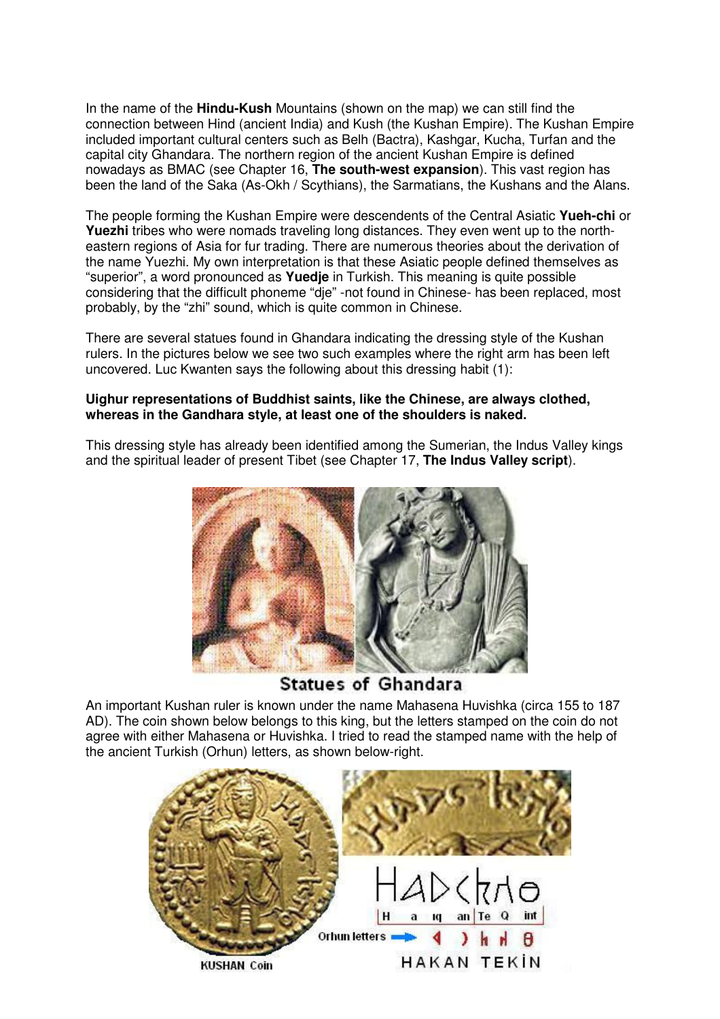In the name of the **Hindu-Kush** Mountains (shown on the map) we can still find the connection between Hind (ancient India) and Kush (the Kushan Empire). The Kushan Empire included important cultural centers such as Belh (Bactra), Kashgar, Kucha, Turfan and the capital city Ghandara. The northern region of the ancient Kushan Empire is defined nowadays as BMAC (see Chapter 16, **The south-west expansion**). This vast region has been the land of the Saka (As-Okh / Scythians), the Sarmatians, the Kushans and the Alans.

The people forming the Kushan Empire were descendents of the Central Asiatic **Yueh-chi** or **Yuezhi** tribes who were nomads traveling long distances. They even went up to the northeastern regions of Asia for fur trading. There are numerous theories about the derivation of the name Yuezhi. My own interpretation is that these Asiatic people defined themselves as "superior", a word pronounced as **Yuedje** in Turkish. This meaning is quite possible considering that the difficult phoneme "dje" -not found in Chinese- has been replaced, most probably, by the "zhi" sound, which is quite common in Chinese.

There are several statues found in Ghandara indicating the dressing style of the Kushan rulers. In the pictures below we see two such examples where the right arm has been left uncovered. Luc Kwanten says the following about this dressing habit (1):

## **Uighur representations of Buddhist saints, like the Chinese, are always clothed, whereas in the Gandhara style, at least one of the shoulders is naked.**

This dressing style has already been identified among the Sumerian, the Indus Valley kings and the spiritual leader of present Tibet (see Chapter 17, **The Indus Valley script**).



**Statues of Ghandara** 

An important Kushan ruler is known under the name Mahasena Huvishka (circa 155 to 187 AD). The coin shown below belongs to this king, but the letters stamped on the coin do not agree with either Mahasena or Huvishka. I tried to read the stamped name with the help of the ancient Turkish (Orhun) letters, as shown below-right.